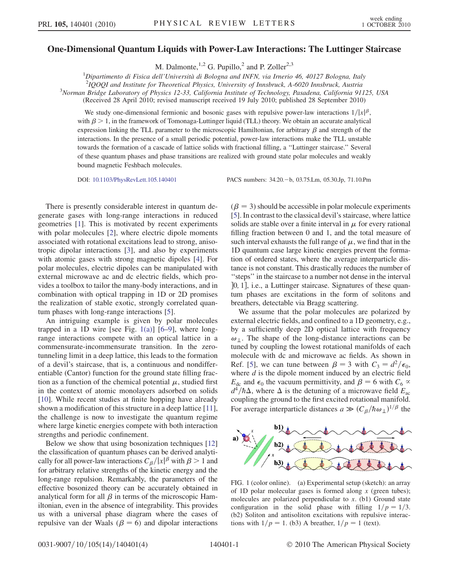## One-Dimensional Quantum Liquids with Power-Law Interactions: The Luttinger Staircase

M. Dalmonte,  $^{1,2}$  G. Pupillo, <sup>2</sup> and P. Zoller<sup>2,3</sup>

<sup>1</sup>Dipartimento di Fisica dell'Università di Bologna and INFN, via Irnerio 46, 40127 Bologna, Italy 210001 and Institute for Theoratical Physics, University of Innsbruck A 6020 Innsbruck Austria.

 $21000$ I and Institute for Theoretical Physics, University of Innsbruck, A-6020 Innsbruck, Austria

<sup>3</sup>Norman Bridge Laboratory of Physics 12-33, California Institute of Technology, Pasadena, California 91125, USA

(Received 28 April 2010; revised manuscript received 19 July 2010; published 28 September 2010)

We study one-dimensional fermionic and bosonic gases with repulsive power-law interactions  $1/|x|^{\beta}$ , with  $\beta > 1$ , in the framework of Tomonaga-Luttinger liquid (TLL) theory. We obtain an accurate analytical expression linking the TLL parameter to the microscopic Hamiltonian, for arbitrary  $\beta$  and strength of the interactions. In the presence of a small periodic potential, power-law interactions make the TLL unstable towards the formation of a cascade of lattice solids with fractional filling, a ''Luttinger staircase.'' Several of these quantum phases and phase transitions are realized with ground state polar molecules and weakly bound magnetic Feshbach molecules.

DOI: [10.1103/PhysRevLett.105.140401](http://dx.doi.org/10.1103/PhysRevLett.105.140401) PACS numbers: 34.20.-b, 03.75.Lm, 05.30.Jp, 71.10.Pm

There is presently considerable interest in quantum degenerate gases with long-range interactions in reduced geometries [[1\]](#page-3-0). This is motivated by recent experiments with polar molecules [\[2\]](#page-3-1), where electric dipole moments associated with rotational excitations lead to strong, anisotropic dipolar interactions [[3](#page-3-2)], and also by experiments with atomic gases with strong magnetic dipoles [\[4\]](#page-3-3). For polar molecules, electric dipoles can be manipulated with external microwave ac and dc electric fields, which provides a toolbox to tailor the many-body interactions, and in combination with optical trapping in 1D or 2D promises the realization of stable exotic, strongly correlated quantum phases with long-range interactions [[5](#page-3-4)].

An intriguing example is given by polar molecules trapped in a 1D wire [see Fig. [1\(a\)\]](#page-0-0)  $[6-9]$  $[6-9]$ , where longrange interactions compete with an optical lattice in a commensurate-incommensurate transition. In the zerotunneling limit in a deep lattice, this leads to the formation of a devil's staircase, that is, a continuous and nondifferentiable (Cantor) function for the ground state filling fraction as a function of the chemical potential  $\mu$ , studied first in the context of atomic monolayers adsorbed on solids [\[10\]](#page-3-7). While recent studies at finite hopping have already shown a modification of this structure in a deep lattice [[11\]](#page-3-8), the challenge is now to investigate the quantum regime where large kinetic energies compete with both interaction strengths and periodic confinement.

Below we show that using bosonization techniques [\[12\]](#page-3-9) the classification of quantum phases can be derived analytically for all power-law interactions  $C_{\beta}/|x|^{\beta}$  with  $\beta > 1$  and for arbitrary relative strengths of the kinetic energy and the long-range repulsion. Remarkably, the parameters of the effective bosonized theory can be accurately obtained in analytical form for all  $\beta$  in terms of the microscopic Hamiltonian, even in the absence of integrability. This provides us with a universal phase diagram where the cases of repulsive van der Waals ( $\beta = 6$ ) and dipolar interactions  $(\beta = 3)$  should be accessible in polar molecule experiments [\[5](#page-3-4)]. In contrast to the classical devil's staircase, where lattice solids are stable over a finite interval in  $\mu$  for every rational filling fraction between 0 and 1, and the total measure of such interval exhausts the full range of  $\mu$ , we find that in the 1D quantum case large kinetic energies prevent the formation of ordered states, where the average interparticle distance is not constant. This drastically reduces the number of ''steps'' in the staircase to a number not dense in the interval ]0, 1], i.e., a Luttinger staircase. Signatures of these quantum phases are excitations in the form of solitons and breathers, detectable via Bragg scattering.

We assume that the polar molecules are polarized by external electric fields, and confined to a 1D geometry, e.g., by a sufficiently deep 2D optical lattice with frequency  $\omega_{\perp}$ . The shape of the long-distance interactions can be tuned by coupling the lowest rotational manifolds of each molecule with dc and microwave ac fields. As shown in Ref. [\[5\]](#page-3-4), we can tune between  $\beta = 3$  with  $C_3 = d^2/\epsilon_0$ , where  $d$  is the dipole moment induced by an electric field  $E_{\text{dc}}$  and  $\epsilon_0$  the vacuum permittivity, and  $\beta = 6$  with  $C_6 \propto$  $d^4/\hbar\Delta$ , where  $\Delta$  is the detuning of a microwave field  $E_{ac}$ coupling the ground to the first excited rotational manifold. For average interparticle distances  $a \gg (C_\beta/\hbar\omega_\perp)^{1/\beta}$  the

<span id="page-0-1"></span>

<span id="page-0-0"></span>FIG. 1 (color online). (a) Experimental setup (sketch): an array of 1D polar molecular gases is formed along  $x$  (green tubes); molecules are polarized perpendicular to  $x$ . (b1) Ground state configuration in the solid phase with filling  $1/p = 1/3$ . (b2) Soliton and antisoliton excitations with repulsive interactions with  $1/p = 1$ . (b3) A breather,  $1/p = 1$  (text).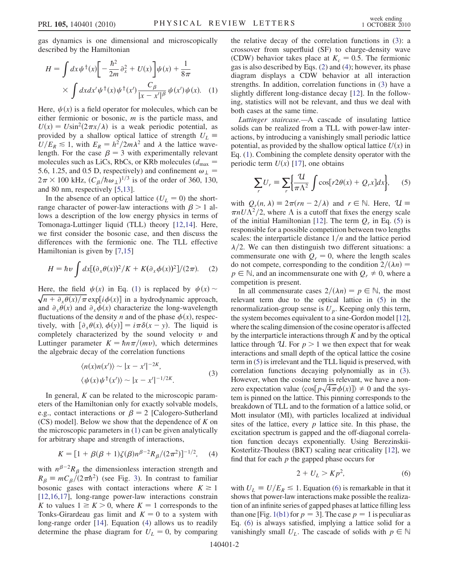gas dynamics is one dimensional and microscopically described by the Hamiltonian

<span id="page-1-0"></span>
$$
H = \int dx \psi^{\dagger}(x) \left[ -\frac{\hbar^2}{2m} \partial_x^2 + U(x) \right] \psi(x) + \frac{1}{8\pi}
$$

$$
\times \int dx dx' \psi^{\dagger}(x) \psi^{\dagger}(x') \frac{C_{\beta}}{|x - x'|^{\beta}} \psi(x') \psi(x). \quad (1)
$$

Here,  $\psi(x)$  is a field operator for molecules, which can be either fermionic or bosonic, m is the particle mass, and  $U(x) = U\sin^2(2\pi x/\lambda)$  is a weak periodic potential, as provided by a shallow optical lattice of strength  $U_L \equiv$  $U/E_R \le 1$ , with  $E_R = h^2/2m\lambda^2$  and  $\lambda$  the lattice wavelength. For the case  $\beta = 3$  with experimentally relevant molecules such as LiCs, RbCs, or KRb molecules ( $d_{\text{max}} =$ 5.6, 1.25, and 0.5 D, respectively) and confinement  $\omega_{\perp}$  =  $2\pi \times 100$  kHz,  $\left(C_{\beta}/\hbar\omega_{\perp}\right)^{1/3}$  is of the order of 360, 130, and 80 nm, respectively [[5](#page-3-4)[,13\]](#page-3-10).

In the absence of an optical lattice  $(U_L = 0)$  the shortrange character of power-law interactions with  $\beta > 1$  allows a description of the low energy physics in terms of Tomonaga-Luttinger liquid (TLL) theory [\[12,](#page-3-9)[14\]](#page-3-11). Here, we first consider the bosonic case, and then discuss the differences with the fermionic one. The TLL effective Hamiltonian is given by [\[7,](#page-3-12)[15\]](#page-3-13)

<span id="page-1-3"></span>
$$
H = \hbar v \int dx [(\partial_x \theta(x))^2/K + K(\partial_x \phi(x))^2]/(2\pi).
$$
 (2)

Here, the field  $\psi(x)$  in Eq. [\(1\)](#page-1-0) is replaced by  $\psi(x) \sim$  $\sqrt{n + \partial_x \theta(x)/\pi}$  exp $[i\phi(x)]$  in a hydrodynamic approach, and  $\partial_x \theta(x)$  and  $\partial_x \phi(x)$  characterize the long-wavelength fluctuations of the density *n* and of the phase  $\phi(x)$ , respectively, with  $[\partial_x \theta(x), \phi(y)] = i\pi \delta(x - y)$ . The liquid is completely characterized by the sound velocity  $\nu$  and Luttinger parameter  $K = \hbar n \pi/(mv)$ , which determines the algebraic decay of the correlation functions

$$
\langle n(x)n(x')\rangle \sim |x - x'|^{-2K},
$$
  

$$
\langle \psi(x)\psi^{\dagger}(x')\rangle \sim |x - x'|^{-1/2K}.
$$
 (3)

<span id="page-1-2"></span>In general,  $K$  can be related to the microscopic parameters of the Hamiltonian only for exactly solvable models, e.g., contact interactions or  $\beta = 2$  [Calogero-Sutherland  $(CS)$  model]. Below we show that the dependence of K on the microscopic parameters in ([1](#page-1-0)) can be given analytically for arbitrary shape and strength of interactions,

<span id="page-1-1"></span>
$$
K = [1 + \beta(\beta + 1)\zeta(\beta)n^{\beta - 2}R_{\beta}/(2\pi^2)]^{-1/2}, \quad (4)
$$

with  $n^{\beta-2}R_{\beta}$  the dimensionless interaction strength and  $R_{\beta} \equiv mC_{\beta}/(2\pi\hbar^2)$  (see Fig. [3\)](#page-3-14). In contrast to familiar bosonic gases with contact interactions where  $K \ge 1$ [\[12](#page-3-9)[,16,](#page-3-15)[17](#page-3-16)], long-range power-law interactions constrain K to values  $1 \geq K > 0$ , where  $K = 1$  corresponds to the Tonks-Girardeau gas limit and  $K = 0$  to a system with long-range order [\[14\]](#page-3-11). Equation ([4\)](#page-1-1) allows us to readily determine the phase diagram for  $U_L = 0$ , by comparing the relative decay of the correlation functions in [\(3](#page-1-2)): a crossover from superfluid (SF) to charge-density wave (CDW) behavior takes place at  $K_c = 0.5$ . The fermionic gas is also described by Eqs. [\(2\)](#page-1-3) and [\(4](#page-1-1)); however, its phase diagram displays a CDW behavior at all interaction strengths. In addition, correlation functions in ([3\)](#page-1-2) have a slightly different long-distance decay [[12](#page-3-9)]. In the following, statistics will not be relevant, and thus we deal with both cases at the same time.

Luttinger staircase.—A cascade of insulating lattice solids can be realized from a TLL with power-law interactions, by introducing a vanishingly small periodic lattice potential, as provided by the shallow optical lattice  $U(x)$  in Eq. [\(1\)](#page-1-0). Combining the complete density operator with the periodic term  $U(x)$  [\[17\]](#page-3-16), one obtains

<span id="page-1-4"></span>
$$
\sum_{r} U_{r} \equiv \sum_{r} \left\{ \frac{\mathcal{U}}{\pi \Lambda^{2}} \int \cos[r2\theta(x) + Q_{r}x] dx \right\}, \quad (5)
$$

with  $Q_r(n, \lambda) \equiv 2\pi (rn - 2/\lambda)$  and  $r \in \mathbb{N}$ . Here,  $\mathcal{U} \equiv$  $\pi n U \overline{\Lambda}^2/2$ , where  $\Lambda$  is a cutoff that fixes the energy scale of the initial Hamiltonian [[12](#page-3-9)]. The term  $Q_r$  in Eq. ([5](#page-1-4)) is responsible for a possible competition between two lengths scales: the interparticle distance  $1/n$  and the lattice period  $\lambda/2$ . We can then distinguish two different situations: a commensurate one with  $Q_r = 0$ , where the length scales do not compete, corresponding to the condition  $2/(\lambda n)$  =  $p \in \mathbb{N}$ , and an incommensurate one with  $Q_r \neq 0$ , where a competition is present.

In all commensurate cases  $2/(\lambda n) = p \in \mathbb{N}$ , the most relevant term due to the optical lattice in [\(5](#page-1-4)) in the renormalization-group sense is  $U_p$ . Keeping only this term, the system becomes equivalent to a sine-Gordon model [[12](#page-3-9)], where the scaling dimension of the cosine operator is affected by the interparticle interactions through  $K$  and by the optical lattice through U. For  $p > 1$  we then expect that for weak interactions and small depth of the optical lattice the cosine term in [\(5\)](#page-1-4) is irrelevant and the TLL liquid is preserved, with correlation functions decaying polynomially as in [\(3](#page-1-2)). However, when the cosine term is relevant, we have a nonzero expectation value  $\langle \cos[p\sqrt{4\pi}\phi(x)] \rangle \neq 0$  and the system is pinned on the lattice. This pinning corresponds to the breakdown of TLL and to the formation of a lattice solid, or Mott insulator (MI), with particles localized at individual sites of the lattice, every  $p$  lattice site. In this phase, the excitation spectrum is gapped and the off-diagonal correlation function decays exponentially. Using Berezinskii-Kosterlitz-Thouless (BKT) scaling near criticality [\[12\]](#page-3-9), we find that for each  $p$  the gapped phase occurs for

$$
2 + U_L > Kp^2,\tag{6}
$$

<span id="page-1-5"></span>with  $U_L \equiv U/E_R \le 1$ . Equation ([6\)](#page-1-5) is remarkable in that it shows that power-law interactions make possible the realization of an infinite series of gapped phases at lattice filling less than one [Fig. [1\(b1\)](#page-0-0) for  $p = 3$ ]. The case  $p = 1$  is peculiar as Eq. ([6\)](#page-1-5) is always satisfied, implying a lattice solid for a vanishingly small  $U_L$ . The cascade of solids with  $p \in \mathbb{N}$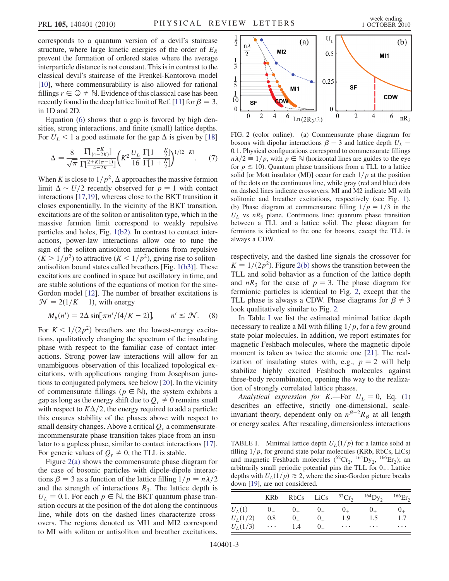corresponds to a quantum version of a devil's staircase structure, where large kinetic energies of the order of  $E_R$ prevent the formation of ordered states where the average interparticle distance is not constant. This is in contrast to the classical devil's staircase of the Frenkel-Kontorova model [\[10\]](#page-3-7), where commensurability is also allowed for rational fillings  $r \in \mathbb{Q} \neq \mathbb{N}$ . Evidence of this classical case has been recently found in the deep lattice limit of Ref. [\[11](#page-3-8)] for  $\beta = 3$ , in 1D and 2D.

Equation [\(6\)](#page-1-5) shows that a gap is favored by high densities, strong interactions, and finite (small) lattice depths. For  $U_L < 1$  a good estimate for the gap  $\Delta$  is given by [\[18\]](#page-3-17)

$$
\Delta = \frac{8}{\sqrt{\pi}} \frac{\Gamma\left[\frac{\pi K}{(4-2K)}\right]}{\Gamma\left[\frac{2+K(\pi-1)}{4-2K}\right]} \left(K^2 \frac{U_L}{16} \frac{\Gamma\left[1-\frac{K}{2}\right]}{\Gamma\left[1+\frac{K}{2}\right]}\right)^{1/(2-K)}.\tag{7}
$$

When K is close to  $1/p^2$ ,  $\Delta$  approaches the massive fermion limit  $\Delta \sim U/2$  recently observed for  $p = 1$  with contact interactions [\[17,](#page-3-16)[19](#page-3-18)], whereas close to the BKT transition it closes exponentially. In the vicinity of the BKT transition, excitations are of the soliton or antisoliton type, which in the massive fermion limit correspond to weakly repulsive particles and holes, Fig. [1\(b2\)](#page-0-0). In contrast to contact interactions, power-law interactions allow one to tune the sign of the soliton-antisoliton interactions from repulsive  $(K > 1/p^2)$  to attractive  $(K < 1/p^2)$ , giving rise to solitonantisoliton bound states called breathers [Fig. [1\(b3\)\]](#page-0-0). These excitations are confined in space but oscillatory in time, and are stable solutions of the equations of motion for the sine-Gordon model [\[12\]](#page-3-9). The number of breather excitations is  $\mathcal{N} = 2(1/K - 1)$ , with energy

$$
M_b(n') = 2\Delta \sin[\pi n'/(4/K - 2)], \qquad n' \le \mathcal{N}.
$$
 (8)

For  $K < 1/(2p^2)$  breathers are the lowest-energy excitations, qualitatively changing the spectrum of the insulating phase with respect to the familiar case of contact interactions. Strong power-law interactions will allow for an unambiguous observation of this localized topological excitations, with applications ranging from Josephson junctions to conjugated polymers, see below [\[20\]](#page-3-19). In the vicinity of commensurate fillings ( $p \in \mathbb{N}$ ), the system exhibits a gap as long as the energy shift due to  $Q_r \neq 0$  remains small with respect to  $K\Delta/2$ , the energy required to add a particle: this ensures stability of the phases above with respect to small density changes. Above a critical  $Q_c$  a commensurateincommensurate phase transition takes place from an insulator to a gapless phase, similar to contact interactions [[17](#page-3-16)]. For generic values of  $Q_r \neq 0$ , the TLL is stable.

Figure [2\(a\)](#page-2-0) shows the commensurate phase diagram for the case of bosonic particles with dipole-dipole interactions  $\beta = 3$  as a function of the lattice filling  $1/p = n\lambda/2$ and the strength of interactions  $R_3$ . The lattice depth is  $U_L = 0.1$ . For each  $p \in \mathbb{N}$ , the BKT quantum phase transition occurs at the position of the dot along the continuous line, while dots on the dashed lines characterize crossovers. The regions denoted as MI1 and MI2 correspond to MI with soliton or antisoliton and breather excitations,

<span id="page-2-1"></span>

<span id="page-2-0"></span>FIG. 2 (color online). (a) Commensurate phase diagram for bosons with dipolar interactions  $\beta = 3$  and lattice depth  $U_L$ 0:1. Physical configurations correspond to commensurate fillings  $n\lambda/2 \equiv 1/p$ , with  $p \in \mathbb{N}$  (horizontal lines are guides to the eye for  $p \le 10$ ). Quantum phase transitions from a TLL to a lattice solid [or Mott insulator (MI)] occur for each  $1/p$  at the position of the dots on the continuous line, while gray (red and blue) dots on dashed lines indicate crossovers. MI and M2 indicate MI with solitonic and breather excitations, respectively (see Fig. [1\)](#page-0-1). (b) Phase diagram at commensurate filling  $1/p = 1/3$  in the  $U_L$  vs  $nR_3$  plane. Continuous line: quantum phase transition between a TLL and a lattice solid. The phase diagram for fermions is identical to the one for bosons, except the TLL is always a CDW.

respectively, and the dashed line signals the crossover for  $K = 1/(2p^2)$ . Figure [2\(b\)](#page-2-0) shows the transition between the TLL and solid behavior as a function of the lattice depth and  $nR_3$  for the case of  $p = 3$ . The phase diagram for fermionic particles is identical to Fig. [2](#page-2-1), except that the TLL phase is always a CDW. Phase diagrams for  $\beta \neq 3$ look qualitatively similar to Fig. [2.](#page-2-1)

In Table [I](#page-2-2) we list the estimated minimal lattice depth necessary to realize a MI with filling  $1/p$ , for a few ground state polar molecules. In addition, we report estimates for magnetic Feshbach molecules, where the magnetic dipole moment is taken as twice the atomic one [\[21\]](#page-3-20). The realization of insulating states with, e.g.,  $p = 2$  will help stabilize highly excited Feshbach molecules against three-body recombination, opening the way to the realization of strongly correlated lattice phases.

Analytical expression for K.—For  $U_L = 0$ , Eq. [\(1\)](#page-1-0) describes an effective, strictly one-dimensional, scaleinvariant theory, dependent only on  $n^{\beta-2}R_{\beta}$  at all length or energy scales. After rescaling, dimensionless interactions

<span id="page-2-2"></span>TABLE I. Minimal lattice depth  $U_L(1/p)$  for a lattice solid at filling  $1/p$ , for ground state polar molecules (KRb, RbCs, LiCs) and magnetic Feshbach molecules ( ${}^{52}Cr_2$ ,  ${}^{164}Dy_2$ ,  ${}^{166}Er_2$ ); an arbitrarily small periodic potential pins the TLL for  $0_+$ . Lattice depths with  $U_L(1/p) \ge 2$ , where the sine-Gordon picture breaks down [[19](#page-3-18)], are not considered.

|            | <b>KRb</b> | RbCs    | LiCs    | ${}^{52}Cr$ | $^{164}$ Dy <sub>2</sub> | $166$ Er <sub>2</sub> |
|------------|------------|---------|---------|-------------|--------------------------|-----------------------|
| $U_L(1)$   | $0_{+}$    | $0_{+}$ | $0_{+}$ | $0_{+}$     | $0_{+}$                  | $0_{+}$               |
| $U_L(1/2)$ | 0.8        | $0_{+}$ | $0_{+}$ | 1.9         | 1.5                      | 1.7                   |
| $U_L(1/3)$ | $\cdots$   | 1.4     | $0_{+}$ | $\cdots$    | $\cdots$                 | $\cdots$              |